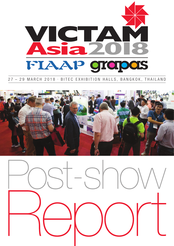

# 27 – 29 MARCH 2018 . BITEC EXHIBITION HALLS, BANGKOK, THAILAND



 $S^r$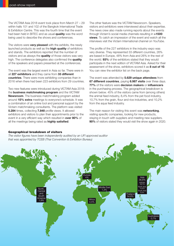The VICTAM Asia 2018 event took place from March 27 – 29 within halls 101 and 102 of the Bangkok International Trade & Exhibition Centre. This was the fourth time that the event had been held in BITEC and as usual **quality** was the word being used to describe the shows and conferences.

The visitors were **very pleased** with the exhibits, the newly launched products as well as the **high quality** of exhibitors and stands. The exhibitors reported that the number of visitors and as always the **quality** of those visitors was very high. The conference delegates also confirmed the **quality** of the speakers and papers presented at the conferences.

The event was the largest event in Asia so far. There were in all **227 exhibitors** and they came from **33 different countries**. There were more exhibiting companies than in 2016 when there had been 223 exhibitors from 29 countries.

Two new features were introduced during VICTAM Asia 2018: the **business matchmaking program** and the VICTAM **Newsroom**. The business matchmaking program added around **15% extra** meetings to everyone's schedule. It was a combination of an online tool and personal support by the Victam matchmaking consultants. The platform was visited **5.284** times, collecting **7.848** profile views. It allowed exhibitors and visitors to plan their appointments prior to the event in a very efficient way which resulted in **over 80%** of all the meetings being rated as **highly satisfied**.

The other feature was the VICTAM Newsroom. Speakers, visitors and exhibitors were interviewed about their expertise. The news crew also made running reports about the events through Victam's social media channels resulting in **>1500 views**. To catch an impression of the event and watch all the interviews visit the Victam International channel on YouTube.

The profile of the 227 exhibitors in the industry expo was very diverse. They represented 33 different countries, 26% are based in Europe, 48% from Asia and 26% in the rest of the world. **93%** of the exhibitors stated that they would participate in the next edition of VICTAM Asia. Asked for their assessment of the show, exhibitors scored it as **8 out of 10**. You can view the exhibitor list on the back page.

The event was attended by **5.629 unique attendees** from **67 different countries**, paying **6.987 visits** over three days. **77%** of the visitors were **decision makers** or **influencers** in the purchasing process. The geographical breakdown is shown below. 45% of the visitors came from (among others) the animal feed industry, 8,4% from the pet food industry, 10,7% from the grain, flour and rice industries, and 10,2% from the aqua feed industry.

The main reason for visiting this event was **networking**, visiting specific companies, looking for new products, staying in touch with suppliers and meeting new suppliers. **90%** of visitors stated they would visit the show again in 2020.

### Geographical breakdown of visitors

*The visitor figures have been independently audited by an UFI approved auditor that was appointed by TCEB (Thai Convention & Exhibition Bureau)*

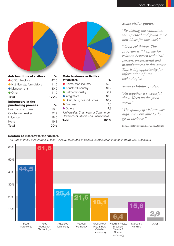| <b>Job functions of visitors</b> | $\frac{0}{0}$      | <b>Main business activities</b>      |               |
|----------------------------------|--------------------|--------------------------------------|---------------|
| ● CEO, directors                 | 47,0               | of visitors                          | $\frac{6}{6}$ |
| Nutritionists, formulators       | 11,5               | ● Animal feed industry               | 45,0          |
| Management                       | 30,5               | • Aquafeed industry                  | 10,2          |
| Other                            | 11,0               | • Petfood industry                   | 8,4           |
| Total                            | 100%               | <b>Integrators</b>                   | 13,3          |
| Influencers in the               |                    | Grain, flour, rice industries        | 10,7          |
| purchasing process               | $\frac{0}{\alpha}$ | <b>Biomass</b>                       | 2,5           |
| Final decision maker             | 28,7               | • Others                             | 9,9           |
| Co-decision maker                | 32,9               | (Universities, Chambers of Commerce, |               |
| Influencer                       | 18,6               | Government, Media and unspecified)   |               |
| None                             | 19,8               | <b>Total</b>                         | 100%          |
| Total                            | 100%               |                                      |               |

# *Some visitor quotes:*

*"By visiting the exhibition, we refreshed and found some new ideas for our work"*

*"Good exhibition. This program will help me for relation between technical person, professional and manufacturers in this sector. This is big opportunity for information of new technologies"* 

# *Some exhibitor quotes:*

*"All together a successful show. Keep up the good work!"*

*"The quality of visitors was high. We were able to do great business"*

*Source: onsite/online survey among participants*

# Sectors of interest to the visitors

*The total of these percentages is over 100% as a number of visitors expressed an interest in more than one sector*